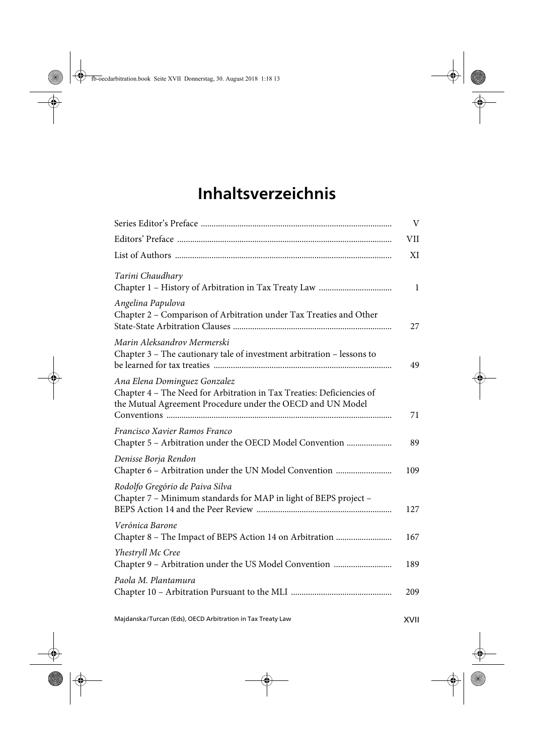## **Inhaltsverzeichnis**

|                                                                                                                                                                     | V            |
|---------------------------------------------------------------------------------------------------------------------------------------------------------------------|--------------|
|                                                                                                                                                                     | VII          |
|                                                                                                                                                                     | XI           |
| Tarini Chaudhary                                                                                                                                                    | $\mathbf{1}$ |
| Angelina Papulova<br>Chapter 2 - Comparison of Arbitration under Tax Treaties and Other                                                                             | 27           |
| Marin Aleksandrov Mermerski<br>Chapter 3 - The cautionary tale of investment arbitration - lessons to                                                               | 49           |
| Ana Elena Dominguez Gonzalez<br>Chapter 4 - The Need for Arbitration in Tax Treaties: Deficiencies of<br>the Mutual Agreement Procedure under the OECD and UN Model | 71           |
| Francisco Xavier Ramos Franco<br>Chapter 5 - Arbitration under the OECD Model Convention                                                                            | 89           |
| Denisse Borja Rendon<br>Chapter 6 - Arbitration under the UN Model Convention                                                                                       | 109          |
| Rodolfo Gregório de Paiva Silva<br>Chapter 7 - Minimum standards for MAP in light of BEPS project -                                                                 | 127          |
| Verónica Barone                                                                                                                                                     | 167          |
| Yhestryll Mc Cree<br>Chapter 9 - Arbitration under the US Model Convention                                                                                          | 189          |
| Paola M. Plantamura                                                                                                                                                 | 209          |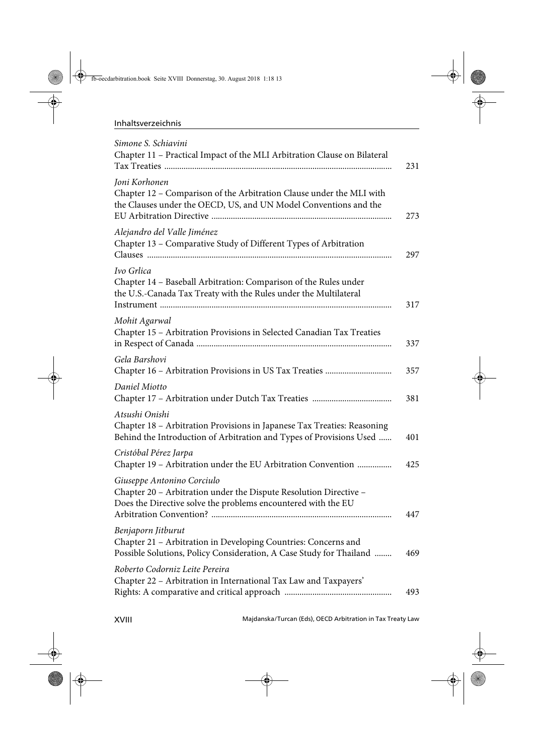| Simone S. Schiavini<br>Chapter 11 - Practical Impact of the MLI Arbitration Clause on Bilateral                                                                  |
|------------------------------------------------------------------------------------------------------------------------------------------------------------------|
| Joni Korhonen<br>Chapter 12 - Comparison of the Arbitration Clause under the MLI with<br>the Clauses under the OECD, US, and UN Model Conventions and the        |
| Alejandro del Valle Jiménez<br>Chapter 13 - Comparative Study of Different Types of Arbitration                                                                  |
| Ivo Grlica<br>Chapter 14 - Baseball Arbitration: Comparison of the Rules under<br>the U.S.-Canada Tax Treaty with the Rules under the Multilateral               |
| Mohit Agarwal<br>Chapter 15 - Arbitration Provisions in Selected Canadian Tax Treaties                                                                           |
| Gela Barshovi                                                                                                                                                    |
| Daniel Miotto                                                                                                                                                    |
| Atsushi Onishi<br>Chapter 18 - Arbitration Provisions in Japanese Tax Treaties: Reasoning<br>Behind the Introduction of Arbitration and Types of Provisions Used |
| Cristóbal Pérez Jarpa<br>Chapter 19 - Arbitration under the EU Arbitration Convention                                                                            |
| Giuseppe Antonino Corciulo<br>Chapter 20 - Arbitration under the Dispute Resolution Directive -<br>Does the Directive solve the problems encountered with the EU |
| Benjaporn Jitburut<br>Chapter 21 - Arbitration in Developing Countries: Concerns and<br>Possible Solutions, Policy Consideration, A Case Study for Thailand      |
| Roberto Codorniz Leite Pereira<br>Chapter 22 - Arbitration in International Tax Law and Taxpayers'                                                               |